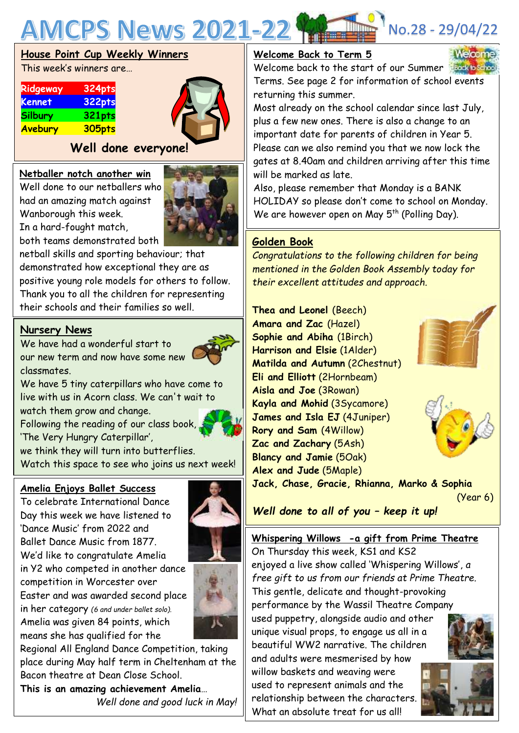

#### **House Point Cup Weekly Winners**

This week's winners are…

| Ridgeway       | 324pts |
|----------------|--------|
| <b>Kennet</b>  | 322pts |
| <b>Silbury</b> | 321pts |
| Avebury        | 305pts |

### **Well done everyone!**

#### **Netballer notch another win**

Well done to our netballers who had an amazing match against Wanborough this week. In a hard-fought match,

both teams demonstrated both



netball skills and sporting behaviour; that demonstrated how exceptional they are as positive young role models for others to follow. Thank you to all the children for representing their schools and their families so well.

#### **Nursery News**

We have had a wonderful start to our new term and now have some new classmates.



We have 5 tiny caterpillars who have come to live with us in Acorn class. We can't wait to watch them grow and change.

Following the reading of our class book,

'The Very Hungry Caterpillar',

we think they will turn into butterflies. Watch this space to see who joins us next week!

#### **Amelia Enjoys Ballet Success**

To celebrate International Dance Day this week we have listened to 'Dance Music' from 2022 and Ballet Dance Music from 1877. We'd like to congratulate Amelia in Y2 who competed in another dance competition in Worcester over Easter and was awarded second place in her category *(6 and under ballet solo).*  Amelia was given 84 points, which means she has qualified for the





Regional All England Dance Competition, taking place during May half term in Cheltenham at the Bacon theatre at Dean Close School.

**This is an amazing achievement Amelia**… *Well done and good luck in May!*

#### **Welcome Back to Term 5**

Welcome back to the start of our Summer Terms. See page 2 for information of school events returning this summer.

Most already on the school calendar since last July, plus a few new ones. There is also a change to an important date for parents of children in Year 5. Please can we also remind you that we now lock the gates at 8.40am and children arriving after this time will be marked as late.

Also, please remember that Monday is a BANK HOLIDAY so please don't come to school on Monday. We are however open on May 5<sup>th</sup> (Polling Day).

#### **Golden Book**

*Congratulations to the following children for being mentioned in the Golden Book Assembly today for their excellent attitudes and approach.*

 **Matilda and Autumn** (2Chestnut) **Thea and Leonel** (Beech) **Amara and Zac** (Hazel) **Sophie and Abiha** (1Birch) **Harrison and Elsie** (1Alder) **Eli and Elliott** (2Hornbeam) **Aisla and Joe** (3Rowan) **Kayla and Mohid** (3Sycamore) **James and Isla EJ** (4Juniper) **Rory and Sam** (4Willow) **Zac and Zachary** (5Ash) **Blancy and Jamie** (5Oak) **Alex and Jude** (5Maple)





**Jack, Chase, Gracie, Rhianna, Marko & Sophia** (Year 6)

*Well done to all of you – keep it up!*

#### **Whispering Willows -a gift from Prime Theatre**

On Thursday this week, KS1 and KS2 enjoyed a live show called 'Whispering Willows', *a free gift to us from our friends at Prime Theatre.* This gentle, delicate and thought-provoking performance by the Wassil Theatre Company used puppetry, alongside audio and other unique visual props, to engage us all in a beautiful WW2 narrative. The children and adults were mesmerised by how willow baskets and weaving were used to represent animals and the

relationship between the characters. What an absolute treat for us all



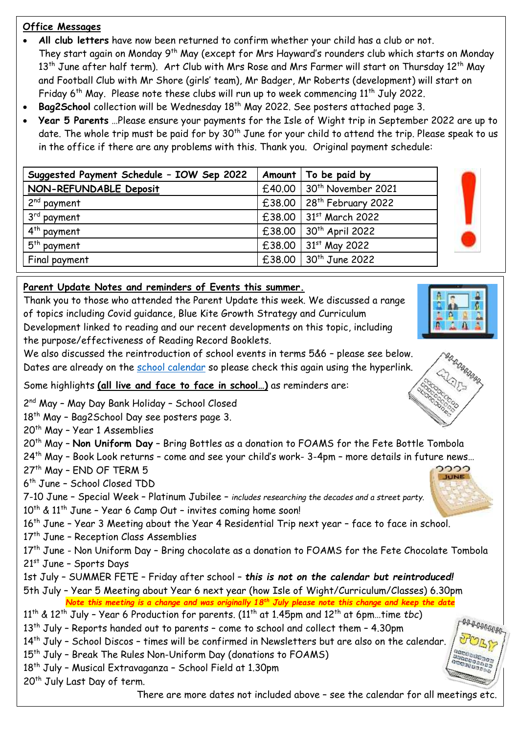#### **Office Messages**

- **All club letters** have now been returned to confirm whether your child has a club or not. They start again on Monday 9<sup>th</sup> May (except for Mrs Hayward's rounders club which starts on Monday 13<sup>th</sup> June after half term). Art Club with Mrs Rose and Mrs Farmer will start on Thursday 12<sup>th</sup> May and Football Club with Mr Shore (girls' team), Mr Badger, Mr Roberts (development) will start on Friday  $6^{th}$  May. Please note these clubs will run up to week commencing  $11^{th}$  July 2022.
- Bag2School collection will be Wednesday 18<sup>th</sup> May 2022. See posters attached page 3.
- **Year 5 Parents** …Please ensure your payments for the Isle of Wight trip in September 2022 are up to date. The whole trip must be paid for by 30<sup>th</sup> June for your child to attend the trip. Please speak to us in the office if there are any problems with this. Thank you. Original payment schedule:

| Suggested Payment Schedule - IOW Sep 2022 | Amount   To be paid by                    |
|-------------------------------------------|-------------------------------------------|
| NON-REFUNDABLE Deposit                    | £40.00 30 <sup>th</sup> November 2021     |
| $2nd$ payment                             | $£38.00$   28 <sup>th</sup> February 2022 |
| $3rd$ payment                             | $£38.00$   31st March 2022                |
| $4th$ payment                             | $£38.00$ 30 <sup>th</sup> April 2022      |
| $5th$ payment                             | £38.00 $\frac{31^{st}}{s}$ May 2022       |
| Final payment                             | $£38.00$ 30 <sup>th</sup> June 2022       |

#### **Parent Update Notes and reminders of Events this summer.**

Thank you to those who attended the Parent Update this week. We discussed a range of topics including Covid guidance, Blue Kite Growth Strategy and Curriculum Development linked to reading and our recent developments on this topic, including the purpose/effectiveness of Reading Record Booklets.

We also discussed the reintroduction of school events in terms 5&6 – please see below. Dates are already on the school [calendar](https://www.abbeymeads.swindon.sch.uk/_files/ugd/64c1c7_0e176d3798b141f2a49e24144210a91d.pdf) so please check this again using the hyperlink.

Some highlights **(all live and face to face in school…)** as reminders are:

2<sup>nd</sup> May - May Day Bank Holiday - School Closed

18<sup>th</sup> May - Bag2School Day see posters page 3.

20<sup>th</sup> May - Year 1 Assemblies

20th May – **Non Uniform Day** – Bring Bottles as a donation to FOAMS for the Fete Bottle Tombola

24th May – Book Look returns – come and see your child's work- 3-4pm – more details in future news…

27<sup>th</sup> May - END OF TERM 5

6 th June – School Closed TDD

7-10 June – Special Week – Platinum Jubilee – *includes researching the decades and a street party.*  $10^{th}$  &  $11^{th}$  June - Year 6 Camp Out - invites coming home soon!

16<sup>th</sup> June - Year 3 Meeting about the Year 4 Residential Trip next year - face to face in school.

17<sup>th</sup> June - Reception Class Assemblies

17<sup>th</sup> June - Non Uniform Day - Bring chocolate as a donation to FOAMS for the Fete Chocolate Tombola 21st June – Sports Days

1st July – SUMMER FETE – Friday after school – *this is not on the calendar but reintroduced!* 5th July – Year 5 Meeting about Year 6 next year (how Isle of Wight/Curriculum/Classes) 6.30pm *Note this meeting is a change and was originally 18th July please note this change and keep the date*

11th & 12th July – Year 6 Production for parents. (11th at 1.45pm and 12th at 6pm…time *tbc*)

13<sup>th</sup> July - Reports handed out to parents - come to school and collect them - 4.30pm

14<sup>th</sup> July - School Discos - times will be confirmed in Newsletters but are also on the calendar.

- 15<sup>th</sup> July Break The Rules Non-Uniform Day (donations to FOAMS)
- 18th July Musical Extravaganza School Field at 1.30pm

20<sup>th</sup> July Last Day of term.

There are more dates not included above – see the calendar for all meetings etc.